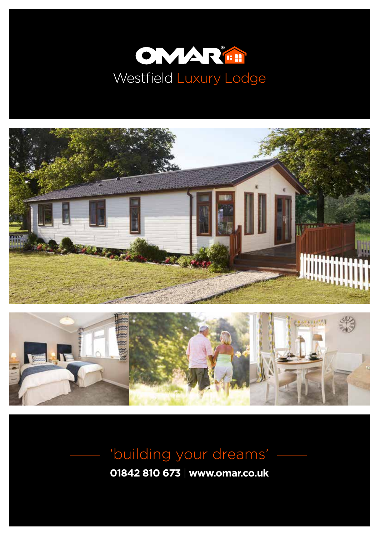





# 'building your dreams'

**01842 810 673** | **www.omar.co.uk**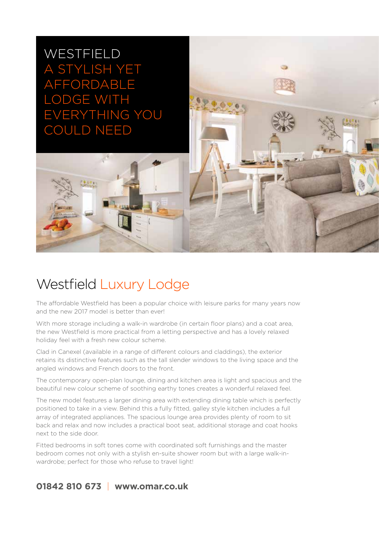WESTFIELD A STYLISH YET AFFORDABLE LODGE WITH **VERYTHING YOU** COULD NEED



## Westfield Luxury Lodge

The affordable Westfield has been a popular choice with leisure parks for many years now and the new 2017 model is better than ever!

With more storage including a walk-in wardrobe (in certain floor plans) and a coat area, the new Westfield is more practical from a letting perspective and has a lovely relaxed holiday feel with a fresh new colour scheme.

Clad in Canexel (available in a range of different colours and claddings), the exterior retains its distinctive features such as the tall slender windows to the living space and the angled windows and French doors to the front.

The contemporary open-plan lounge, dining and kitchen area is light and spacious and the beautiful new colour scheme of soothing earthy tones creates a wonderful relaxed feel.

The new model features a larger dining area with extending dining table which is perfectly positioned to take in a view. Behind this a fully fitted, galley style kitchen includes a full array of integrated appliances. The spacious lounge area provides plenty of room to sit back and relax and now includes a practical boot seat, additional storage and coat hooks next to the side door.

Fitted bedrooms in soft tones come with coordinated soft furnishings and the master bedroom comes not only with a stylish en-suite shower room but with a large walk-inwardrobe; perfect for those who refuse to travel light!

## **01842 810 673** | **www.omar.co.uk**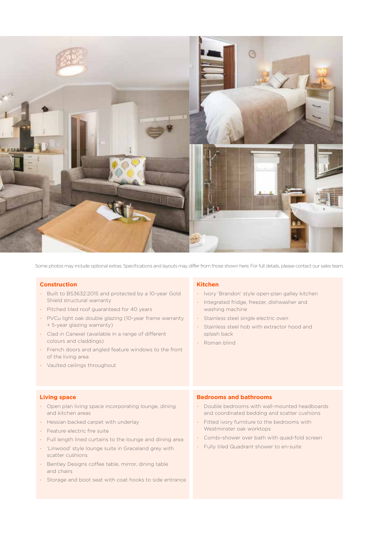

Some photos may include optional extras. Specifications and layouts may differ from those shown here. For full details, please contact our sales team.

### **Construction**

- Built to BS3632:2015 and protected by a 10-year Gold Shield structural warranty
- Pitched tiled roof guaranteed for 40 years
- PVCu light oak double glazing (10-year frame warranty + 5-year glazing warranty)
- Clad in Canexel (available in a range of different colours and claddings)
- French doors and angled feature windows to the front of the living area
- Vaulted ceilings throughout

### **Kitchen**

- Ivory 'Brandon' style open-plan galley kitchen
- Integrated fridge, freezer, dishwasher and washing machine
- Stainless steel single electric oven
- Stainless steel hob with extractor hood and splash back
- Roman blind

#### **Living space**

- Open plan living space incorporating lounge, dining and kitchen areas
- Hessian backed carpet with underlay
- Feature electric fire suite
- Full length lined curtains to the lounge and dining area
- 'Linwood' style lounge suite in Graceland grey with scatter cushions
- Bentley Designs coffee table, mirror, dining table and chairs
- Storage and boot seat with coat hooks to side entrance

#### **Bedrooms and bathrooms**

- Double bedrooms with wall-mounted headboards and coordinated bedding and scatter cushions
- Fitted ivory furniture to the bedrooms with Westminster oak worktops
- Combi-shower over bath with quad-fold screen
- Fully tiled Quadrant shower to en-suite